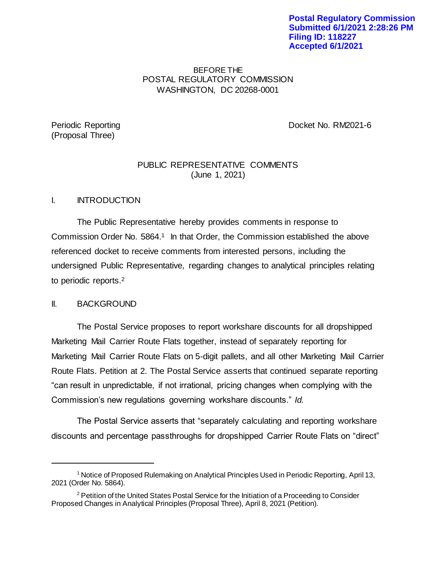**Postal Regulatory Commission Submitted 6/1/2021 2:28:26 PM Filing ID: 118227 Accepted 6/1/2021**

# BEFORE THE POSTAL REGULATORY COMMISSION WASHINGTON, DC 20268-0001

# (Proposal Three)

Periodic Reporting **Docket No. RM2021-6** 

# PUBLIC REPRESENTATIVE COMMENTS (June 1, 2021)

# I. INTRODUCTION

The Public Representative hereby provides comments in response to Commission Order No. 5864. <sup>1</sup> In that Order, the Commission established the above referenced docket to receive comments from interested persons, including the undersigned Public Representative, regarding changes to analytical principles relating to periodic reports.<sup>2</sup>

# II. BACKGROUND

l

The Postal Service proposes to report workshare discounts for all dropshipped Marketing Mail Carrier Route Flats together, instead of separately reporting for Marketing Mail Carrier Route Flats on 5-digit pallets, and all other Marketing Mail Carrier Route Flats. Petition at 2. The Postal Service asserts that continued separate reporting "can result in unpredictable, if not irrational, pricing changes when complying with the Commission's new regulations governing workshare discounts." *Id.*

The Postal Service asserts that "separately calculating and reporting workshare discounts and percentage passthroughs for dropshipped Carrier Route Flats on "direct"

<sup>1</sup> Notice of Proposed Rulemaking on Analytical Principles Used in Periodic Reporting, April 13, 2021 (Order No. 5864).

 $2$  Petition of the United States Postal Service for the Initiation of a Proceeding to Consider Proposed Changes in Analytical Principles (Proposal Three), April 8, 2021 (Petition).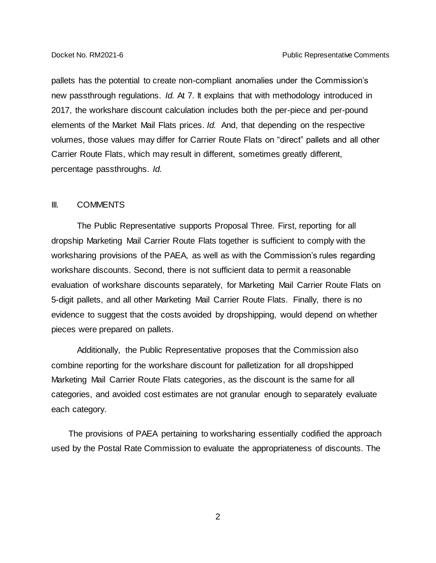pallets has the potential to create non-compliant anomalies under the Commission's new passthrough regulations. *Id.* At 7. It explains that with methodology introduced in 2017, the workshare discount calculation includes both the per-piece and per-pound elements of the Market Mail Flats prices. *Id.* And, that depending on the respective volumes, those values may differ for Carrier Route Flats on "direct" pallets and all other Carrier Route Flats, which may result in different, sometimes greatly different, percentage passthroughs. *Id.*

#### III. COMMENTS

The Public Representative supports Proposal Three. First, reporting for all dropship Marketing Mail Carrier Route Flats together is sufficient to comply with the worksharing provisions of the PAEA, as well as with the Commission's rules regarding workshare discounts. Second, there is not sufficient data to permit a reasonable evaluation of workshare discounts separately, for Marketing Mail Carrier Route Flats on 5-digit pallets, and all other Marketing Mail Carrier Route Flats. Finally, there is no evidence to suggest that the costs avoided by dropshipping, would depend on whether pieces were prepared on pallets.

Additionally, the Public Representative proposes that the Commission also combine reporting for the workshare discount for palletization for all dropshipped Marketing Mail Carrier Route Flats categories, as the discount is the same for all categories, and avoided cost estimates are not granular enough to separately evaluate each category.

The provisions of PAEA pertaining to worksharing essentially codified the approach used by the Postal Rate Commission to evaluate the appropriateness of discounts. The

2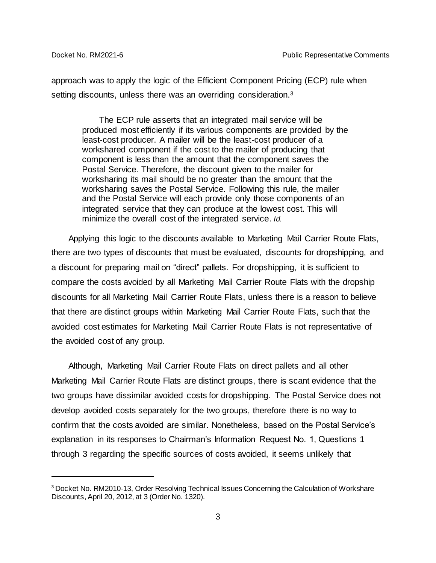l

approach was to apply the logic of the Efficient Component Pricing (ECP) rule when setting discounts, unless there was an overriding consideration.<sup>3</sup>

The ECP rule asserts that an integrated mail service will be produced most efficiently if its various components are provided by the least-cost producer. A mailer will be the least-cost producer of a workshared component if the cost to the mailer of producing that component is less than the amount that the component saves the Postal Service. Therefore, the discount given to the mailer for worksharing its mail should be no greater than the amount that the worksharing saves the Postal Service. Following this rule, the mailer and the Postal Service will each provide only those components of an integrated service that they can produce at the lowest cost. This will minimize the overall cost of the integrated service. *Id.*

Applying this logic to the discounts available to Marketing Mail Carrier Route Flats, there are two types of discounts that must be evaluated, discounts for dropshipping, and a discount for preparing mail on "direct" pallets. For dropshipping, it is sufficient to compare the costs avoided by all Marketing Mail Carrier Route Flats with the dropship discounts for all Marketing Mail Carrier Route Flats, unless there is a reason to believe that there are distinct groups within Marketing Mail Carrier Route Flats, such that the avoided cost estimates for Marketing Mail Carrier Route Flats is not representative of the avoided cost of any group.

Although, Marketing Mail Carrier Route Flats on direct pallets and all other Marketing Mail Carrier Route Flats are distinct groups, there is scant evidence that the two groups have dissimilar avoided costs for dropshipping. The Postal Service does not develop avoided costs separately for the two groups, therefore there is no way to confirm that the costs avoided are similar. Nonetheless, based on the Postal Service's explanation in its responses to Chairman's Information Request No. 1, Questions 1 through 3 regarding the specific sources of costs avoided, it seems unlikely that

<sup>&</sup>lt;sup>3</sup> Docket No. RM2010-13, Order Resolving Technical Issues Concerning the Calculation of Workshare Discounts, April 20, 2012, at 3 (Order No. 1320).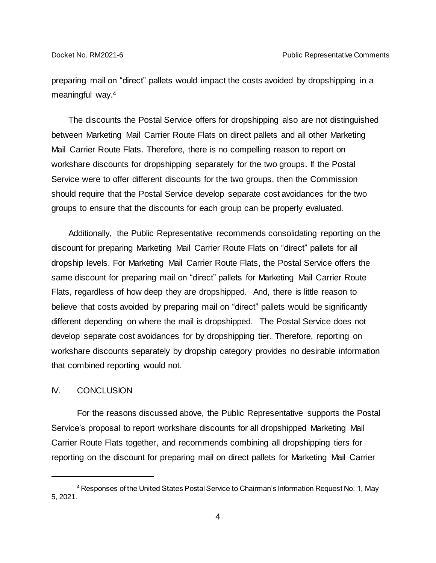preparing mail on "direct" pallets would impact the costs avoided by dropshipping in a meaningful way. 4

The discounts the Postal Service offers for dropshipping also are not distinguished between Marketing Mail Carrier Route Flats on direct pallets and all other Marketing Mail Carrier Route Flats. Therefore, there is no compelling reason to report on workshare discounts for dropshipping separately for the two groups. If the Postal Service were to offer different discounts for the two groups, then the Commission should require that the Postal Service develop separate cost avoidances for the two groups to ensure that the discounts for each group can be properly evaluated.

Additionally, the Public Representative recommends consolidating reporting on the discount for preparing Marketing Mail Carrier Route Flats on "direct" pallets for all dropship levels. For Marketing Mail Carrier Route Flats, the Postal Service offers the same discount for preparing mail on "direct" pallets for Marketing Mail Carrier Route Flats, regardless of how deep they are dropshipped. And, there is little reason to believe that costs avoided by preparing mail on "direct" pallets would be significantly different depending on where the mail is dropshipped. The Postal Service does not develop separate cost avoidances for by dropshipping tier. Therefore, reporting on workshare discounts separately by dropship category provides no desirable information that combined reporting would not.

# IV. CONCLUSION

l

For the reasons discussed above, the Public Representative supports the Postal Service's proposal to report workshare discounts for all dropshipped Marketing Mail Carrier Route Flats together, and recommends combining all dropshipping tiers for reporting on the discount for preparing mail on direct pallets for Marketing Mail Carrier

<sup>4</sup> Responses of the United States Postal Service to Chairman's Information Request No. 1, May 5, 2021.